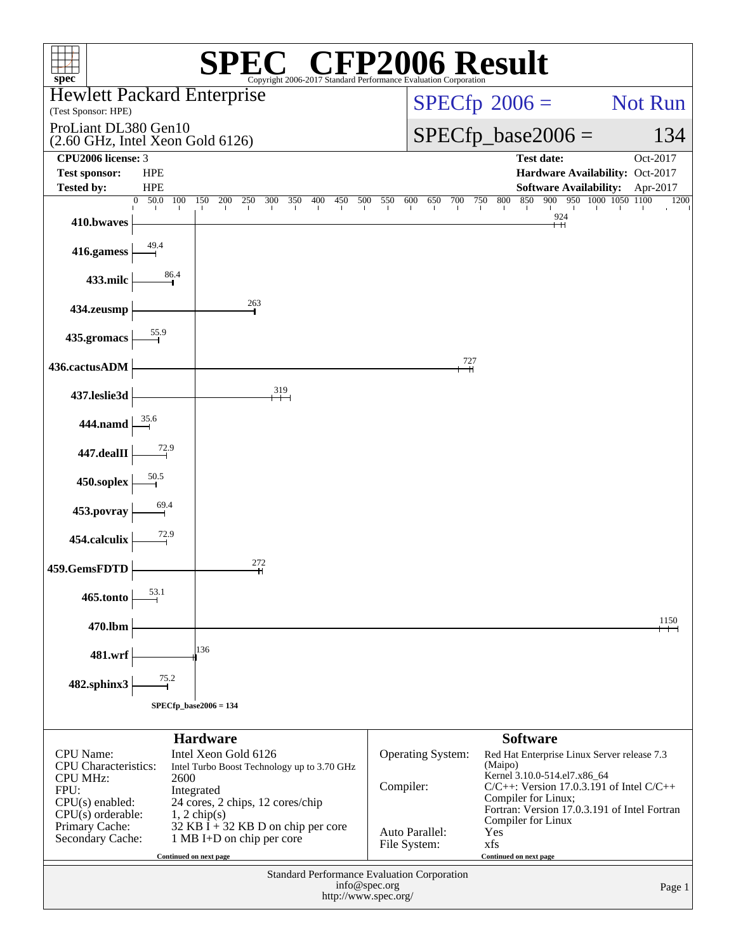| $spec^*$                                                                                                               |                         |                                                                                                                                         |              | <b>CFP2006 Result</b><br>Copyright 2006-2017 Standard Performance Evaluation Corporation |            |     |                                       |     |     |     |     |         |                        |                                                                                                                                                                                                     |  |         |          |        |
|------------------------------------------------------------------------------------------------------------------------|-------------------------|-----------------------------------------------------------------------------------------------------------------------------------------|--------------|------------------------------------------------------------------------------------------|------------|-----|---------------------------------------|-----|-----|-----|-----|---------|------------------------|-----------------------------------------------------------------------------------------------------------------------------------------------------------------------------------------------------|--|---------|----------|--------|
| <b>Hewlett Packard Enterprise</b>                                                                                      |                         |                                                                                                                                         |              |                                                                                          |            |     |                                       |     |     |     |     |         | $SPECfp^{\circ}2006 =$ |                                                                                                                                                                                                     |  | Not Run |          |        |
| (Test Sponsor: HPE)<br>ProLiant DL380 Gen10                                                                            |                         |                                                                                                                                         |              |                                                                                          |            |     |                                       |     |     |     |     |         |                        |                                                                                                                                                                                                     |  |         |          |        |
| $(2.60$ GHz, Intel Xeon Gold $6126)$                                                                                   |                         |                                                                                                                                         |              |                                                                                          |            |     |                                       |     |     |     |     |         |                        | $SPECfp\_base2006 =$                                                                                                                                                                                |  |         | 134      |        |
| CPU2006 license: 3<br><b>Test sponsor:</b>                                                                             | <b>HPE</b>              |                                                                                                                                         |              |                                                                                          |            |     |                                       |     |     |     |     |         |                        | <b>Test date:</b><br>Hardware Availability: Oct-2017                                                                                                                                                |  |         | Oct-2017 |        |
| <b>Tested by:</b>                                                                                                      | <b>HPE</b>              |                                                                                                                                         |              |                                                                                          |            |     |                                       |     |     |     |     |         |                        | <b>Software Availability:</b>                                                                                                                                                                       |  |         | Apr-2017 |        |
| 410.bwaves                                                                                                             | 50.0<br>$\Omega$<br>100 | 150<br>200                                                                                                                              | 250<br>300   | 350                                                                                      | 400<br>450 | 500 | 550                                   | 600 | 650 | 700 | 750 | 800     | 850                    | 900 950 1000 1050 1100<br>$\overset{924}{\leftarrow}$                                                                                                                                               |  |         |          | 1200   |
| 416.gamess                                                                                                             | 49.4                    |                                                                                                                                         |              |                                                                                          |            |     |                                       |     |     |     |     |         |                        |                                                                                                                                                                                                     |  |         |          |        |
| 433.milc                                                                                                               | 86.4                    |                                                                                                                                         |              |                                                                                          |            |     |                                       |     |     |     |     |         |                        |                                                                                                                                                                                                     |  |         |          |        |
| 434.zeusmp                                                                                                             |                         |                                                                                                                                         | 263          |                                                                                          |            |     |                                       |     |     |     |     |         |                        |                                                                                                                                                                                                     |  |         |          |        |
| 435.gromacs                                                                                                            | 55.9                    |                                                                                                                                         |              |                                                                                          |            |     |                                       |     |     |     |     |         |                        |                                                                                                                                                                                                     |  |         |          |        |
| 436.cactusADM                                                                                                          |                         |                                                                                                                                         |              |                                                                                          |            |     |                                       |     |     | 727 |     |         |                        |                                                                                                                                                                                                     |  |         |          |        |
| 437.leslie3d                                                                                                           |                         |                                                                                                                                         | 319          | $+$                                                                                      |            |     |                                       |     |     |     |     |         |                        |                                                                                                                                                                                                     |  |         |          |        |
| 444.namd                                                                                                               | 35.6                    |                                                                                                                                         |              |                                                                                          |            |     |                                       |     |     |     |     |         |                        |                                                                                                                                                                                                     |  |         |          |        |
| 447.dealII                                                                                                             | 72.9                    |                                                                                                                                         |              |                                                                                          |            |     |                                       |     |     |     |     |         |                        |                                                                                                                                                                                                     |  |         |          |        |
| 450.soplex                                                                                                             | 50.5                    |                                                                                                                                         |              |                                                                                          |            |     |                                       |     |     |     |     |         |                        |                                                                                                                                                                                                     |  |         |          |        |
| 453.povray                                                                                                             | 69.4                    |                                                                                                                                         |              |                                                                                          |            |     |                                       |     |     |     |     |         |                        |                                                                                                                                                                                                     |  |         |          |        |
| 454.calculix                                                                                                           | 72.9                    |                                                                                                                                         |              |                                                                                          |            |     |                                       |     |     |     |     |         |                        |                                                                                                                                                                                                     |  |         |          |        |
| 459.GemsFDTD                                                                                                           |                         |                                                                                                                                         | 272<br>$\pm$ |                                                                                          |            |     |                                       |     |     |     |     |         |                        |                                                                                                                                                                                                     |  |         |          |        |
| 465.tonto                                                                                                              | 53.1                    |                                                                                                                                         |              |                                                                                          |            |     |                                       |     |     |     |     |         |                        |                                                                                                                                                                                                     |  |         |          |        |
| 470.lbm                                                                                                                |                         |                                                                                                                                         |              |                                                                                          |            |     |                                       |     |     |     |     |         |                        |                                                                                                                                                                                                     |  |         | 1150     |        |
| 481.wrf                                                                                                                |                         | 136                                                                                                                                     |              |                                                                                          |            |     |                                       |     |     |     |     |         |                        |                                                                                                                                                                                                     |  |         |          |        |
| 482.sphinx3                                                                                                            | 75.2                    |                                                                                                                                         |              |                                                                                          |            |     |                                       |     |     |     |     |         |                        |                                                                                                                                                                                                     |  |         |          |        |
|                                                                                                                        |                         | $SPECfp\_base2006 = 134$                                                                                                                |              |                                                                                          |            |     |                                       |     |     |     |     |         |                        |                                                                                                                                                                                                     |  |         |          |        |
|                                                                                                                        |                         | <b>Hardware</b>                                                                                                                         |              |                                                                                          |            |     |                                       |     |     |     |     |         | <b>Software</b>        |                                                                                                                                                                                                     |  |         |          |        |
| <b>CPU</b> Name:<br><b>CPU</b> Characteristics:<br><b>CPU MHz:</b><br>FPU:<br>$CPU(s)$ enabled:<br>$CPU(s)$ orderable: | 2600                    | Intel Xeon Gold 6126<br>Intel Turbo Boost Technology up to 3.70 GHz<br>Integrated<br>24 cores, 2 chips, 12 cores/chip<br>$1, 2$ chip(s) |              |                                                                                          |            |     | Operating System:<br>Compiler:        |     |     |     |     | (Maipo) |                        | Red Hat Enterprise Linux Server release 7.3<br>Kernel 3.10.0-514.el7.x86_64<br>$C/C++$ : Version 17.0.3.191 of Intel $C/C++$<br>Compiler for Linux;<br>Fortran: Version 17.0.3.191 of Intel Fortran |  |         |          |        |
| Primary Cache:<br>Secondary Cache:                                                                                     |                         | $32$ KB I + 32 KB D on chip per core<br>1 MB I+D on chip per core<br>Continued on next page                                             |              |                                                                                          |            |     | Auto Parallel:<br>File System:        |     |     |     | xfs | Yes     | Continued on next page | Compiler for Linux                                                                                                                                                                                  |  |         |          |        |
|                                                                                                                        |                         |                                                                                                                                         |              | <b>Standard Performance Evaluation Corporation</b>                                       |            |     | info@spec.org<br>http://www.spec.org/ |     |     |     |     |         |                        |                                                                                                                                                                                                     |  |         |          | Page 1 |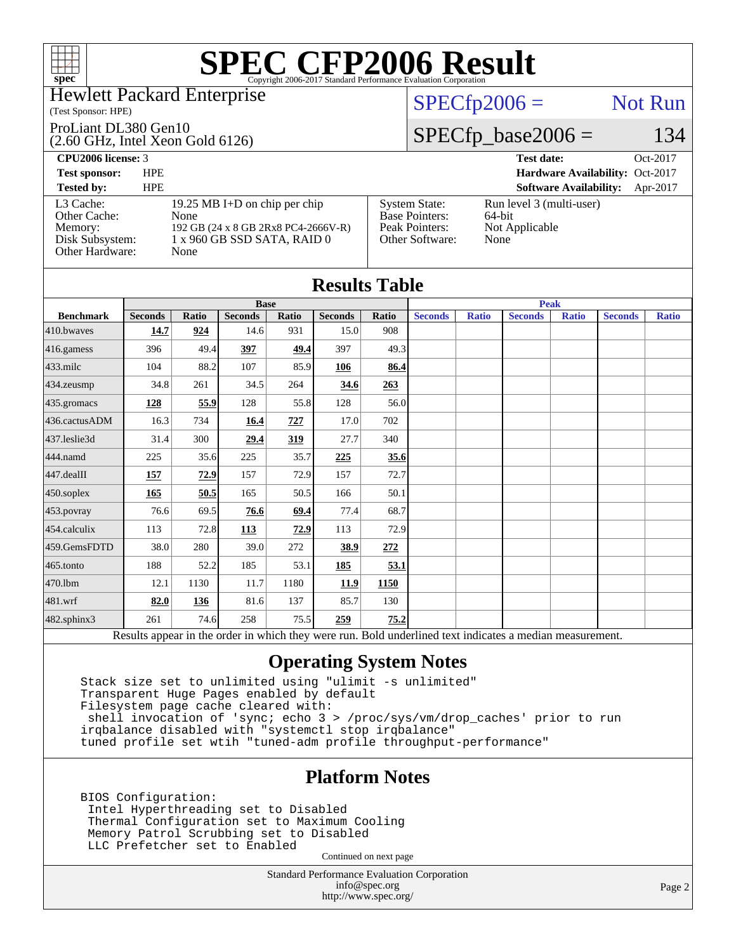## Hewlett Packard Enterprise

### (Test Sponsor: HPE)

### ProLiant DL380 Gen10

(2.60 GHz, Intel Xeon Gold 6126)

## $SPECTp2006 =$  Not Run

# $SPECfp\_base2006 = 134$

### **[CPU2006 license:](http://www.spec.org/auto/cpu2006/Docs/result-fields.html#CPU2006license)** 3 **[Test date:](http://www.spec.org/auto/cpu2006/Docs/result-fields.html#Testdate)** Oct-2017 **[Test sponsor:](http://www.spec.org/auto/cpu2006/Docs/result-fields.html#Testsponsor)** HPE **[Hardware Availability:](http://www.spec.org/auto/cpu2006/Docs/result-fields.html#HardwareAvailability)** Oct-2017 **[Tested by:](http://www.spec.org/auto/cpu2006/Docs/result-fields.html#Testedby)** HPE **[Software Availability:](http://www.spec.org/auto/cpu2006/Docs/result-fields.html#SoftwareAvailability)** Apr-2017 [L3 Cache:](http://www.spec.org/auto/cpu2006/Docs/result-fields.html#L3Cache) 19.25 MB I+D on chip per chip<br>Other Cache: None [Other Cache:](http://www.spec.org/auto/cpu2006/Docs/result-fields.html#OtherCache) [Memory:](http://www.spec.org/auto/cpu2006/Docs/result-fields.html#Memory) 192 GB (24 x 8 GB 2Rx8 PC4-2666V-R) [Disk Subsystem:](http://www.spec.org/auto/cpu2006/Docs/result-fields.html#DiskSubsystem) 1 x 960 GB SSD SATA, RAID 0 [Other Hardware:](http://www.spec.org/auto/cpu2006/Docs/result-fields.html#OtherHardware) None [System State:](http://www.spec.org/auto/cpu2006/Docs/result-fields.html#SystemState) Run level 3 (multi-user)<br>Base Pointers: 64-bit [Base Pointers:](http://www.spec.org/auto/cpu2006/Docs/result-fields.html#BasePointers) [Peak Pointers:](http://www.spec.org/auto/cpu2006/Docs/result-fields.html#PeakPointers) Not Applicable [Other Software:](http://www.spec.org/auto/cpu2006/Docs/result-fields.html#OtherSoftware) None

|                  |                |              |                |       | <b>Results Table</b> |             |                |              |                                                                                                          |              |                |              |
|------------------|----------------|--------------|----------------|-------|----------------------|-------------|----------------|--------------|----------------------------------------------------------------------------------------------------------|--------------|----------------|--------------|
|                  |                |              | <b>Base</b>    |       |                      | <b>Peak</b> |                |              |                                                                                                          |              |                |              |
| <b>Benchmark</b> | <b>Seconds</b> | <b>Ratio</b> | <b>Seconds</b> | Ratio | <b>Seconds</b>       | Ratio       | <b>Seconds</b> | <b>Ratio</b> | <b>Seconds</b>                                                                                           | <b>Ratio</b> | <b>Seconds</b> | <b>Ratio</b> |
| 410.bwayes       | 14.7           | 924          | 14.6           | 931   | 15.0                 | 908         |                |              |                                                                                                          |              |                |              |
| $416$ .gamess    | 396            | 49.4         | 397            | 49.4  | 397                  | 49.3        |                |              |                                                                                                          |              |                |              |
| $433$ .milc      | 104            | 88.2         | 107            | 85.9  | 106                  | 86.4        |                |              |                                                                                                          |              |                |              |
| 434.zeusmp       | 34.8           | 261          | 34.5           | 264   | 34.6                 | 263         |                |              |                                                                                                          |              |                |              |
| 435.gromacs      | 128            | 55.9         | 128            | 55.8  | 128                  | 56.0        |                |              |                                                                                                          |              |                |              |
| 436.cactusADM    | 16.3           | 734          | 16.4           | 727   | 17.0                 | 702         |                |              |                                                                                                          |              |                |              |
| 437.leslie3d     | 31.4           | 300          | 29.4           | 319   | 27.7                 | 340         |                |              |                                                                                                          |              |                |              |
| 444.namd         | 225            | 35.6         | 225            | 35.7  | 225                  | 35.6        |                |              |                                                                                                          |              |                |              |
| 447.dealII       | 157            | 72.9         | 157            | 72.9  | 157                  | 72.7        |                |              |                                                                                                          |              |                |              |
| $450$ .soplex    | 165            | 50.5         | 165            | 50.5  | 166                  | 50.1        |                |              |                                                                                                          |              |                |              |
| $453$ .povray    | 76.6           | 69.5         | 76.6           | 69.4  | 77.4                 | 68.7        |                |              |                                                                                                          |              |                |              |
| 454.calculix     | 113            | 72.8         | 113            | 72.9  | 113                  | 72.9        |                |              |                                                                                                          |              |                |              |
| 459.GemsFDTD     | 38.0           | 280          | 39.0           | 272   | 38.9                 | 272         |                |              |                                                                                                          |              |                |              |
| $465$ .tonto     | 188            | 52.2         | 185            | 53.1  | <b>185</b>           | 53.1        |                |              |                                                                                                          |              |                |              |
| 470.1bm          | 12.1           | 1130         | 11.7           | 1180  | 11.9                 | 1150        |                |              |                                                                                                          |              |                |              |
| 481.wrf          | 82.0           | 136          | 81.6           | 137   | 85.7                 | 130         |                |              |                                                                                                          |              |                |              |
| 482.sphinx3      | 261            | 74.6         | 258            | 75.5  | 259                  | 75.2        |                |              |                                                                                                          |              |                |              |
|                  |                |              |                |       |                      |             |                |              | Results appear in the order in which they were run. Bold underlined text indicates a median measurement. |              |                |              |

# **[Operating System Notes](http://www.spec.org/auto/cpu2006/Docs/result-fields.html#OperatingSystemNotes)**

 Stack size set to unlimited using "ulimit -s unlimited" Transparent Huge Pages enabled by default Filesystem page cache cleared with: shell invocation of 'sync; echo 3 > /proc/sys/vm/drop\_caches' prior to run irqbalance disabled with "systemctl stop irqbalance" tuned profile set wtih "tuned-adm profile throughput-performance"

# **[Platform Notes](http://www.spec.org/auto/cpu2006/Docs/result-fields.html#PlatformNotes)**

 BIOS Configuration: Intel Hyperthreading set to Disabled Thermal Configuration set to Maximum Cooling Memory Patrol Scrubbing set to Disabled LLC Prefetcher set to Enabled

Continued on next page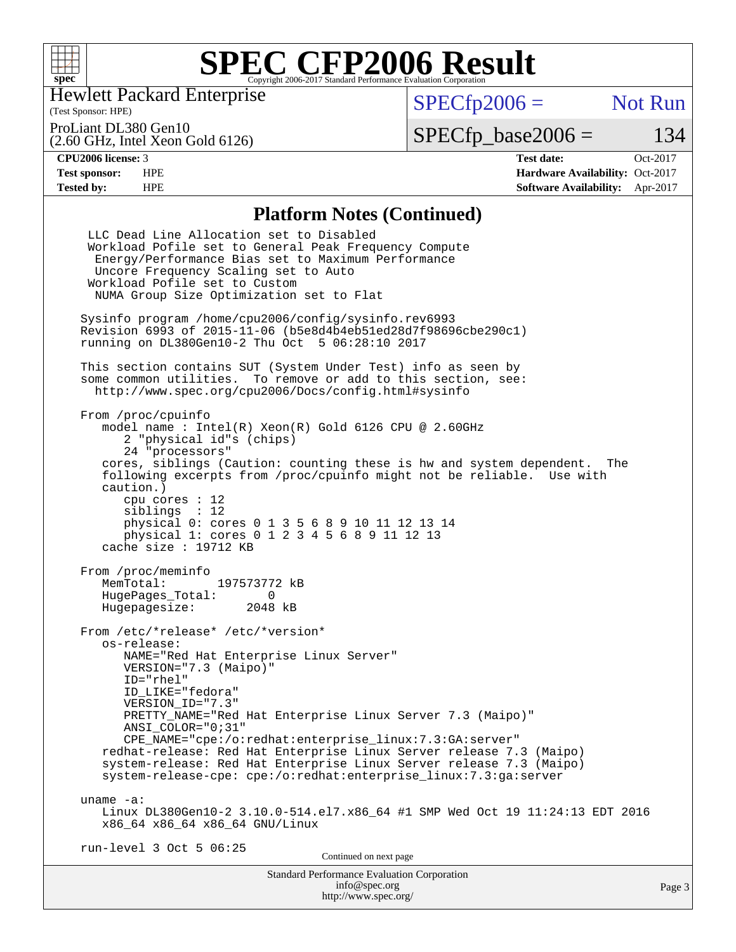

Hewlett Packard Enterprise

(2.60 GHz, Intel Xeon Gold 6126)

(Test Sponsor: HPE)

 $SPECfp2006 =$  Not Run

ProLiant DL380 Gen10

 $SPECTp\_base2006 = 134$ 

**[CPU2006 license:](http://www.spec.org/auto/cpu2006/Docs/result-fields.html#CPU2006license)** 3 **[Test date:](http://www.spec.org/auto/cpu2006/Docs/result-fields.html#Testdate)** Oct-2017 **[Test sponsor:](http://www.spec.org/auto/cpu2006/Docs/result-fields.html#Testsponsor)** HPE **[Hardware Availability:](http://www.spec.org/auto/cpu2006/Docs/result-fields.html#HardwareAvailability)** Oct-2017 **[Tested by:](http://www.spec.org/auto/cpu2006/Docs/result-fields.html#Testedby)** HPE **[Software Availability:](http://www.spec.org/auto/cpu2006/Docs/result-fields.html#SoftwareAvailability)** Apr-2017

## **[Platform Notes \(Continued\)](http://www.spec.org/auto/cpu2006/Docs/result-fields.html#PlatformNotes)**

Standard Performance Evaluation Corporation [info@spec.org](mailto:info@spec.org) Page 3 LLC Dead Line Allocation set to Disabled Workload Pofile set to General Peak Frequency Compute Energy/Performance Bias set to Maximum Performance Uncore Frequency Scaling set to Auto Workload Pofile set to Custom NUMA Group Size Optimization set to Flat Sysinfo program /home/cpu2006/config/sysinfo.rev6993 Revision 6993 of 2015-11-06 (b5e8d4b4eb51ed28d7f98696cbe290c1) running on DL380Gen10-2 Thu Oct 5 06:28:10 2017 This section contains SUT (System Under Test) info as seen by some common utilities. To remove or add to this section, see: <http://www.spec.org/cpu2006/Docs/config.html#sysinfo> From /proc/cpuinfo model name : Intel(R) Xeon(R) Gold 6126 CPU @ 2.60GHz 2 "physical id"s (chips) 24 "processors" cores, siblings (Caution: counting these is hw and system dependent. The following excerpts from /proc/cpuinfo might not be reliable. Use with caution.) cpu cores : 12 siblings : 12 physical 0: cores 0 1 3 5 6 8 9 10 11 12 13 14 physical 1: cores 0 1 2 3 4 5 6 8 9 11 12 13 cache size : 19712 KB From /proc/meminfo MemTotal: 197573772 kB HugePages\_Total: 0<br>Hugepagesize: 2048 kB Hugepagesize: From /etc/\*release\* /etc/\*version\* os-release: NAME="Red Hat Enterprise Linux Server" VERSION="7.3 (Maipo)" ID="rhel" ID\_LIKE="fedora" VERSION\_ID="7.3" PRETTY\_NAME="Red Hat Enterprise Linux Server 7.3 (Maipo)" ANSI\_COLOR="0;31" CPE\_NAME="cpe:/o:redhat:enterprise\_linux:7.3:GA:server" redhat-release: Red Hat Enterprise Linux Server release 7.3 (Maipo) system-release: Red Hat Enterprise Linux Server release 7.3 (Maipo) system-release-cpe: cpe:/o:redhat:enterprise\_linux:7.3:ga:server uname -a: Linux DL380Gen10-2 3.10.0-514.el7.x86\_64 #1 SMP Wed Oct 19 11:24:13 EDT 2016 x86\_64 x86\_64 x86\_64 GNU/Linux run-level 3 Oct 5 06:25 Continued on next page

<http://www.spec.org/>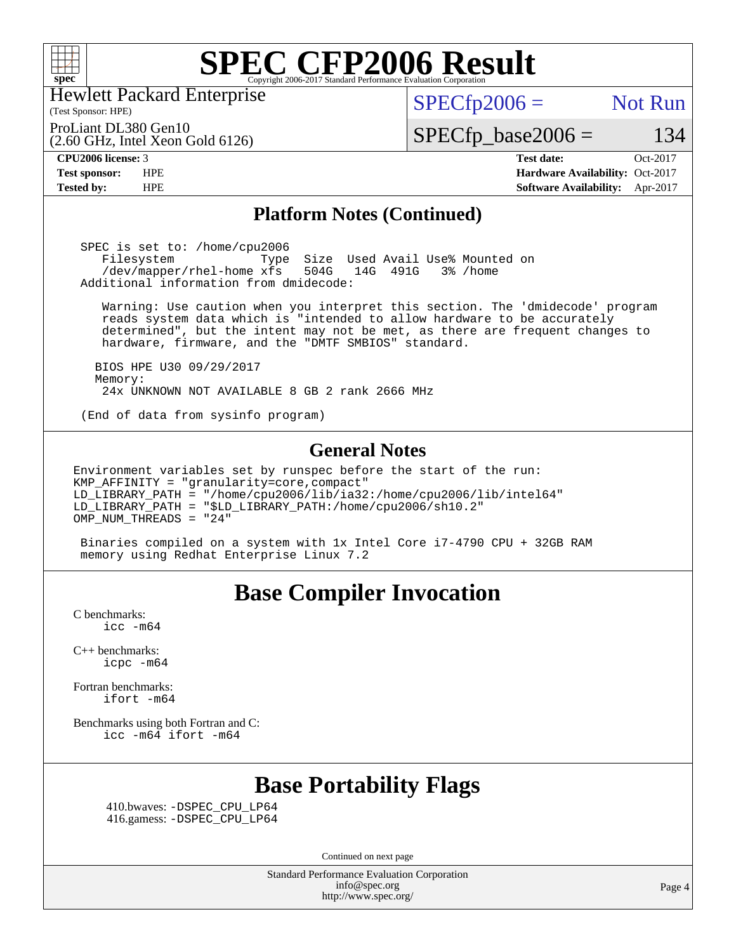

Hewlett Packard Enterprise

### (Test Sponsor: HPE)

 $SPECTp2006 =$  Not Run

(2.60 GHz, Intel Xeon Gold 6126) ProLiant DL380 Gen10

 $SPECfp\_base2006 = 134$ 

**[CPU2006 license:](http://www.spec.org/auto/cpu2006/Docs/result-fields.html#CPU2006license)** 3 **[Test date:](http://www.spec.org/auto/cpu2006/Docs/result-fields.html#Testdate)** Oct-2017 **[Test sponsor:](http://www.spec.org/auto/cpu2006/Docs/result-fields.html#Testsponsor)** HPE **[Hardware Availability:](http://www.spec.org/auto/cpu2006/Docs/result-fields.html#HardwareAvailability)** Oct-2017 **[Tested by:](http://www.spec.org/auto/cpu2006/Docs/result-fields.html#Testedby)** HPE **[Software Availability:](http://www.spec.org/auto/cpu2006/Docs/result-fields.html#SoftwareAvailability)** Apr-2017

## **[Platform Notes \(Continued\)](http://www.spec.org/auto/cpu2006/Docs/result-fields.html#PlatformNotes)**

 SPEC is set to: /home/cpu2006 Filesystem Type Size Used Avail Use% Mounted on<br>/dev/mapper/rhel-home xfs 504G 14G 491G 3% /home /dev/mapper/rhel-home xfs 504G 14G 491G 3% /home Additional information from dmidecode:

 Warning: Use caution when you interpret this section. The 'dmidecode' program reads system data which is "intended to allow hardware to be accurately determined", but the intent may not be met, as there are frequent changes to hardware, firmware, and the "DMTF SMBIOS" standard.

 BIOS HPE U30 09/29/2017 Memory: 24x UNKNOWN NOT AVAILABLE 8 GB 2 rank 2666 MHz

(End of data from sysinfo program)

## **[General Notes](http://www.spec.org/auto/cpu2006/Docs/result-fields.html#GeneralNotes)**

Environment variables set by runspec before the start of the run: KMP\_AFFINITY = "granularity=core,compact" LD\_LIBRARY\_PATH = "/home/cpu2006/lib/ia32:/home/cpu2006/lib/intel64" LD\_LIBRARY\_PATH = "\$LD\_LIBRARY\_PATH:/home/cpu2006/sh10.2" OMP\_NUM\_THREADS = "24"

 Binaries compiled on a system with 1x Intel Core i7-4790 CPU + 32GB RAM memory using Redhat Enterprise Linux 7.2

# **[Base Compiler Invocation](http://www.spec.org/auto/cpu2006/Docs/result-fields.html#BaseCompilerInvocation)**

[C benchmarks](http://www.spec.org/auto/cpu2006/Docs/result-fields.html#Cbenchmarks):  $\text{icc}$   $-\text{m64}$ 

[C++ benchmarks:](http://www.spec.org/auto/cpu2006/Docs/result-fields.html#CXXbenchmarks) [icpc -m64](http://www.spec.org/cpu2006/results/res2017q4/cpu2006-20171017-50308.flags.html#user_CXXbase_intel_icpc_64bit_fc66a5337ce925472a5c54ad6a0de310)

[Fortran benchmarks](http://www.spec.org/auto/cpu2006/Docs/result-fields.html#Fortranbenchmarks): [ifort -m64](http://www.spec.org/cpu2006/results/res2017q4/cpu2006-20171017-50308.flags.html#user_FCbase_intel_ifort_64bit_ee9d0fb25645d0210d97eb0527dcc06e)

[Benchmarks using both Fortran and C](http://www.spec.org/auto/cpu2006/Docs/result-fields.html#BenchmarksusingbothFortranandC): [icc -m64](http://www.spec.org/cpu2006/results/res2017q4/cpu2006-20171017-50308.flags.html#user_CC_FCbase_intel_icc_64bit_bda6cc9af1fdbb0edc3795bac97ada53) [ifort -m64](http://www.spec.org/cpu2006/results/res2017q4/cpu2006-20171017-50308.flags.html#user_CC_FCbase_intel_ifort_64bit_ee9d0fb25645d0210d97eb0527dcc06e)

# **[Base Portability Flags](http://www.spec.org/auto/cpu2006/Docs/result-fields.html#BasePortabilityFlags)**

 410.bwaves: [-DSPEC\\_CPU\\_LP64](http://www.spec.org/cpu2006/results/res2017q4/cpu2006-20171017-50308.flags.html#suite_basePORTABILITY410_bwaves_DSPEC_CPU_LP64) 416.gamess: [-DSPEC\\_CPU\\_LP64](http://www.spec.org/cpu2006/results/res2017q4/cpu2006-20171017-50308.flags.html#suite_basePORTABILITY416_gamess_DSPEC_CPU_LP64)

Continued on next page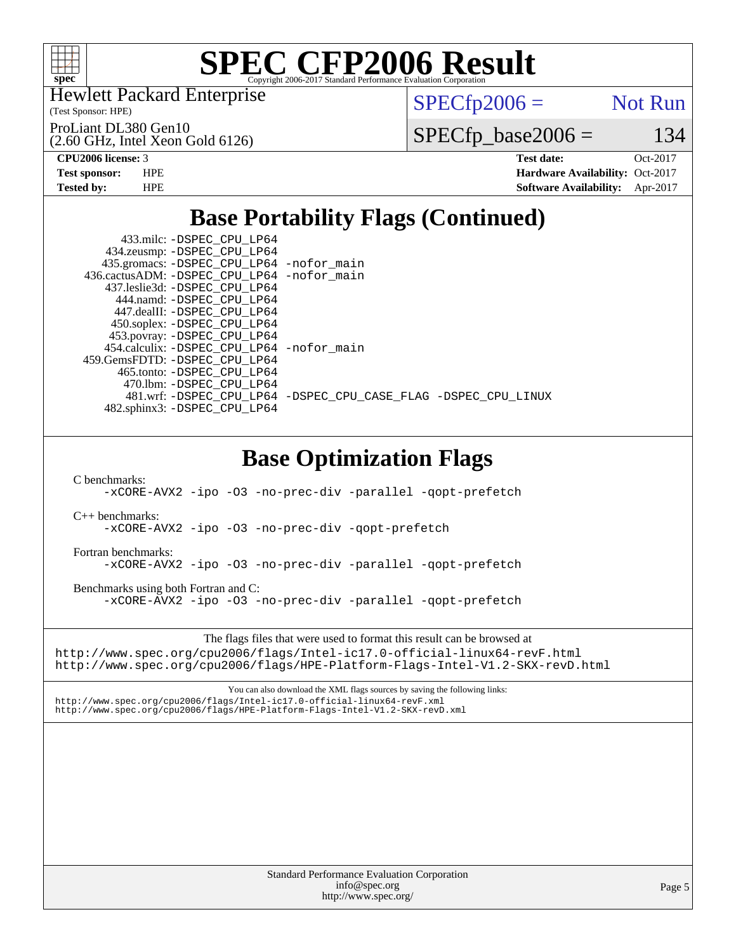

Hewlett Packard Enterprise

(Test Sponsor: HPE)

ProLiant DL380 Gen10

 $SPECfp2006 =$  Not Run

(2.60 GHz, Intel Xeon Gold 6126)

 $SPECTp\_base2006 = 134$ 

**[CPU2006 license:](http://www.spec.org/auto/cpu2006/Docs/result-fields.html#CPU2006license)** 3 **[Test date:](http://www.spec.org/auto/cpu2006/Docs/result-fields.html#Testdate)** Oct-2017 **[Test sponsor:](http://www.spec.org/auto/cpu2006/Docs/result-fields.html#Testsponsor)** HPE **[Hardware Availability:](http://www.spec.org/auto/cpu2006/Docs/result-fields.html#HardwareAvailability)** Oct-2017 **[Tested by:](http://www.spec.org/auto/cpu2006/Docs/result-fields.html#Testedby)** HPE **[Software Availability:](http://www.spec.org/auto/cpu2006/Docs/result-fields.html#SoftwareAvailability)** Apr-2017

# **[Base Portability Flags \(Continued\)](http://www.spec.org/auto/cpu2006/Docs/result-fields.html#BasePortabilityFlags)**

| 433.milc: - DSPEC_CPU_LP64<br>434.zeusmp: - DSPEC_CPU_LP64<br>435.gromacs: -DSPEC_CPU_LP64 -nofor_main<br>436.cactusADM: -DSPEC_CPU_LP64 -nofor_main<br>437.leslie3d: -DSPEC_CPU_LP64<br>444.namd: - DSPEC_CPU_LP64<br>447.dealII: -DSPEC_CPU_LP64<br>450.soplex: -DSPEC_CPU_LP64<br>453.povray: -DSPEC_CPU_LP64<br>454.calculix: -DSPEC_CPU_LP64 -nofor_main<br>459.GemsFDTD: - DSPEC_CPU_LP64<br>465.tonto: - DSPEC_CPU_LP64<br>470.1bm: -DSPEC_CPU_LP64<br>481.wrf: -DSPEC_CPU_LP64 -DSPEC_CPU_CASE_FLAG -DSPEC_CPU_LINUX<br>482.sphinx3: -DSPEC_CPU_LP64 |
|--------------------------------------------------------------------------------------------------------------------------------------------------------------------------------------------------------------------------------------------------------------------------------------------------------------------------------------------------------------------------------------------------------------------------------------------------------------------------------------------------------------------------------------------------------------|
|                                                                                                                                                                                                                                                                                                                                                                                                                                                                                                                                                              |
| <b>Base Optimization Flags</b><br>C benchmarks:<br>-xCORE-AVX2 -ipo -03 -no-prec-div -parallel -qopt-prefetch                                                                                                                                                                                                                                                                                                                                                                                                                                                |
| $C_{++}$ benchmarks:<br>-xCORE-AVX2 -ipo -03 -no-prec-div -qopt-prefetch                                                                                                                                                                                                                                                                                                                                                                                                                                                                                     |
| Fortran benchmarks:<br>-xCORE-AVX2 -ipo -03 -no-prec-div -parallel -qopt-prefetch                                                                                                                                                                                                                                                                                                                                                                                                                                                                            |
| Benchmarks using both Fortran and C:<br>-xCORE-AVX2 -ipo -03 -no-prec-div -parallel -qopt-prefetch                                                                                                                                                                                                                                                                                                                                                                                                                                                           |
| The flags files that were used to format this result can be browsed at<br>http://www.spec.org/cpu2006/flags/Intel-ic17.0-official-linux64-revF.html<br>http://www.spec.org/cpu2006/flags/HPE-Platform-Flags-Intel-V1.2-SKX-revD.html                                                                                                                                                                                                                                                                                                                         |
| You can also download the XML flags sources by saving the following links:<br>http://www.spec.org/cpu2006/flags/Intel-ic17.0-official-linux64-revF.xml<br>http://www.spec.org/cpu2006/flags/HPE-Platform-Flags-Intel-V1.2-SKX-revD.xml                                                                                                                                                                                                                                                                                                                       |
|                                                                                                                                                                                                                                                                                                                                                                                                                                                                                                                                                              |
|                                                                                                                                                                                                                                                                                                                                                                                                                                                                                                                                                              |
|                                                                                                                                                                                                                                                                                                                                                                                                                                                                                                                                                              |